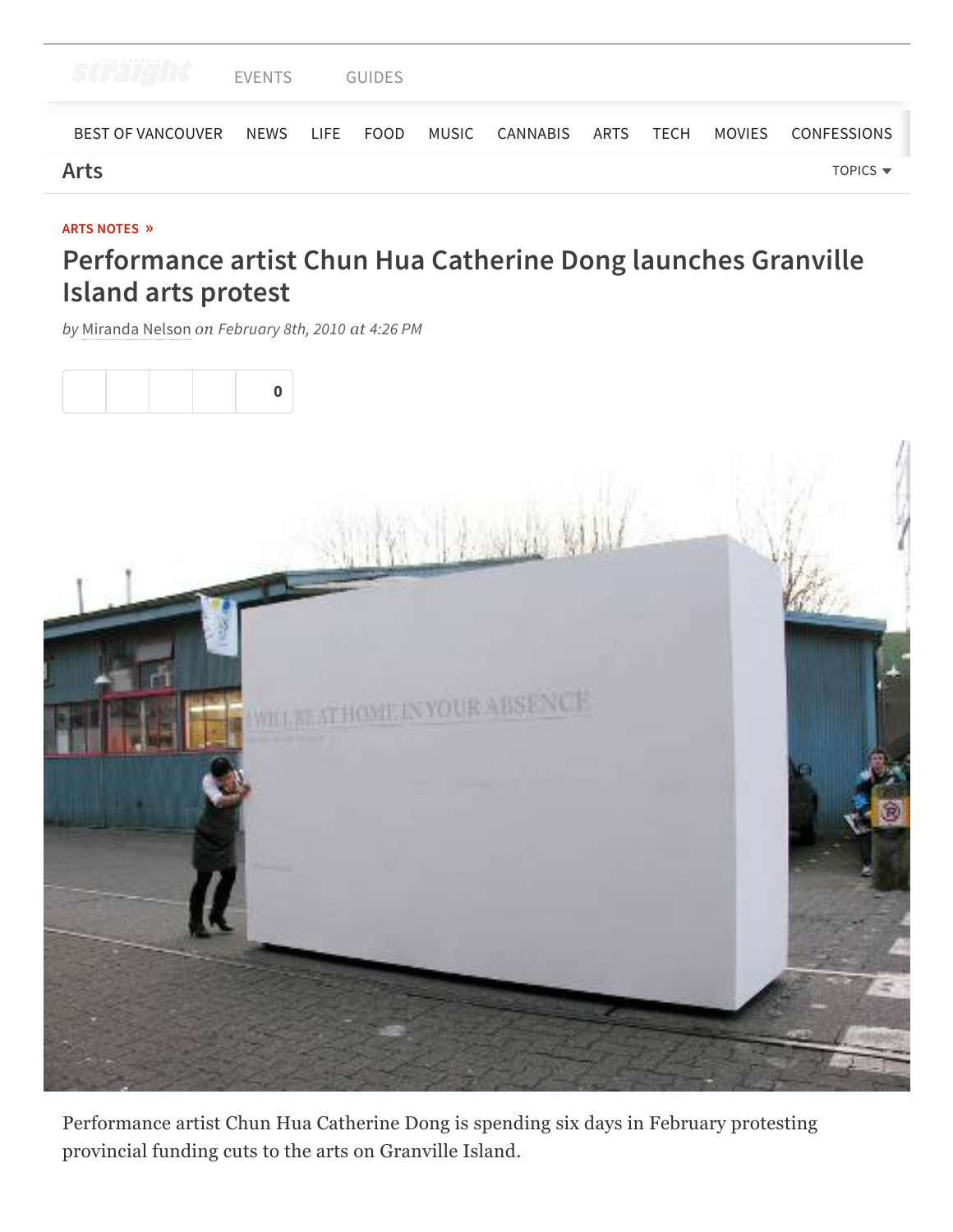

#### **ARTS [NOTES](https://www.straight.com/arts/arts-notes) »**

# **Performance artist Chun Hua Catherine Dong launches Granville Island arts protest**

*by* [Miranda](https://www.straight.com/users/miranda-nelson) Nelson *on February 8th, 2010 at 4:26 PM*



Performance artist Chun Hua Catherine Dong is spending six days in February protesting provincial funding cuts to the arts on Granville Island.